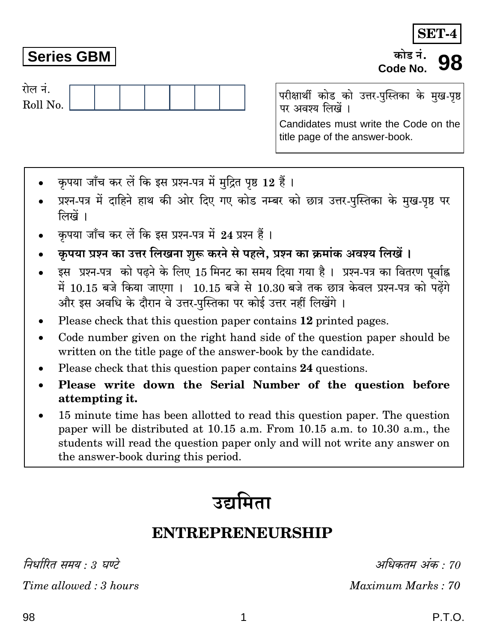निर्धारित समय  $\cdot$  3 घण्टे

Time allowed: 3 hours

Maximum Marks: 70

## **Series GBM**

रोल नं. Roll No.

परीक्षार्थी कोड को उत्तर-पुस्तिका के मुख-पृष्ठ पर अवश्य लिखें । Candidates must write the Code on the title page of the answer-book.

- कपया जाँच कर लें कि इस प्रश्न-पत्र में मुद्रित पृष्ठ 12 हैं।
- प्रश्न-पत्र में दाहिने हाथ की ओर दिए गए कोड नम्बर को छात्र उत्तर-पुस्तिका के मुख-पृष्ठ पर लिखें ।
- कपया जाँच कर लें कि इस प्रश्न-पत्र में 24 प्रश्न हैं।
- कपया प्रश्न का उत्तर लिखना शुरू करने से पहले. प्रश्न का क्रमांक अवश्य लिखें ।
- इस प्रश्न-पत्र को पढने के लिए 15 मिनट का समय दिया गया है। प्रश्न-पत्र का वितरण पूर्वाह्न में 10.15 बजे किया जाएगा । 10.15 बजे से 10.30 बजे तक छात्र केवल प्रश्न-पत्र को पढेंगे और इस अवधि के दौरान वे उत्तर-पुस्तिका पर कोई उत्तर नहीं लिखेंगे ।
- Please check that this question paper contains 12 printed pages.
- Code number given on the right hand side of the question paper should be  $\bullet$ written on the title page of the answer-book by the candidate.
- Please check that this question paper contains 24 questions.
- Please write down the Serial Number of the question before attempting it.
- 15 minute time has been allotted to read this question paper. The question paper will be distributed at 10.15 a.m. From 10.15 a.m. to 10.30 a.m., the students will read the question paper only and will not write any answer on the answer-book during this period.



1

## **ENTREPRENEURSHIP**

P.T.O.

अधिकतम अंक · 70

**SET-4** 

कोड़ नं

Code No.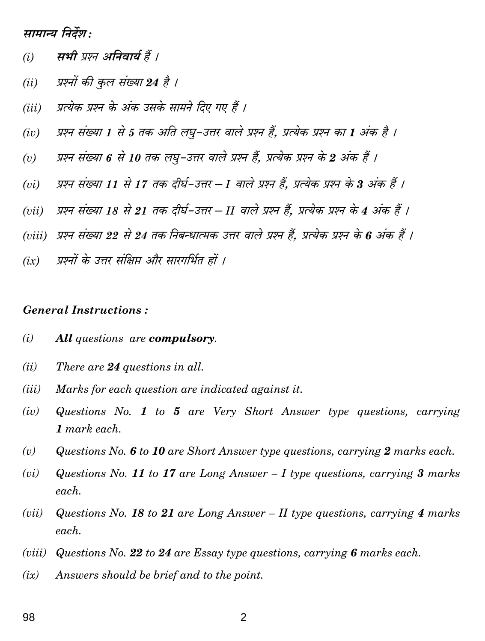मामान्य निर्देश :

- सभी प्रश्न अनिवार्य हैं ।  $(i)$
- प्रश्नों की कुल संख्या 24 है ।  $(ii)$
- प्रत्येक प्रश्न के अंक उसके सामने दिए गए हैं ।  $(iii)$
- प्रश्न संख्या 1 से 5 तक अति लघु-उत्तर वाले प्रश्न हैं, प्रत्येक प्रश्न का 1 अंक है ।  $(iv)$
- प्रश्न संख्या 6 से 10 तक लघु-उत्तर वाले प्रश्न हैं, प्रत्येक प्रश्न के 2 अंक हैं ।  $(v)$
- प्रश्न संख्या 11 से 17 तक दीर्घ-उत्तर I वाले प्रश्न हैं, प्रत्येक प्रश्न के 3 अंक हैं ।  $(vi)$
- प्रश्न संख्या 18 से 21 तक दीर्घ-उत्तर II वाले प्रश्न हैं. प्रत्येक प्रश्न के 4 अंक हैं ।  $(vii)$
- (viii) प्रश्न संख्या 22 से 24 तक निबन्धात्मक उत्तर वाले प्रश्न हैं, प्रत्येक प्रश्न के 6 अंक हैं ।
- प्रश्नों के उत्तर संक्षिप्त और सारगर्भित हों ।  $(ix)$

## **General Instructions:**

- All questions are compulsory.  $(i)$
- There are 24 questions in all.  $(ii)$
- Marks for each question are indicated against it.  $(iii)$
- Questions No. 1 to 5 are Very Short Answer type questions, carrying  $(iv)$  $1$  mark each.
- Questions No. 6 to 10 are Short Answer type questions, carrying 2 marks each.  $(v)$
- Questions No. 11 to 17 are Long Answer  $-1$  type questions, carrying 3 marks  $(vi)$ each.
- $(vii)$ Questions No. 18 to 21 are Long Answer  $-$  II type questions, carrying 4 marks each.
- Questions No. 22 to 24 are Essay type questions, carrying 6 marks each.  $(viii)$
- Answers should be brief and to the point.  $(ix)$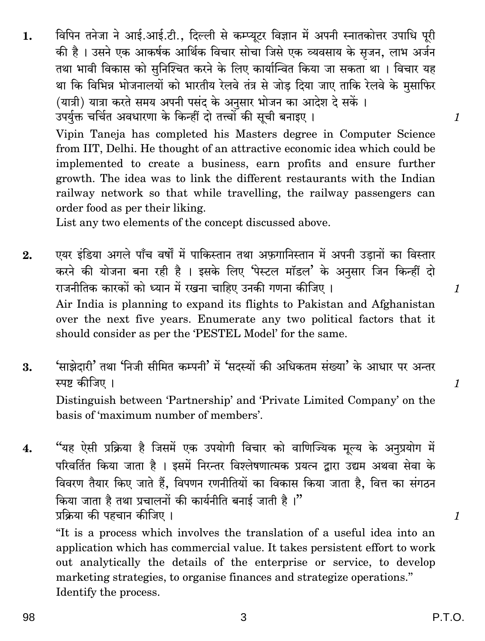Vipin Taneja has completed his Masters degree in Computer Science from IIT, Delhi. He thought of an attractive economic idea which could be implemented to create a business, earn profits and ensure further growth. The idea was to link the different restaurants with the Indian railway network so that while travelling, the railway passengers can order food as per their liking.

List any two elements of the concept discussed above.

- एयर इंडिया अगले पाँच वर्षों में पाकिस्तान तथा अफगानिस्तान में अपनी उडानों का विस्तार  $2.$ करने की योजना बना रही है । इसके लिए 'पेस्टल मॉडल' के अनुसार जिन किन्हीं दो राजनीतिक कारकों को ध्यान में रखना चाहिए उनकी गणना कीजिए । Air India is planning to expand its flights to Pakistan and Afghanistan over the next five years. Enumerate any two political factors that it should consider as per the 'PESTEL Model' for the same.
- 'साझेदारी' तथा 'निजी सीमित कम्पनी' में 'सदस्यों की अधिकतम संख्या' के आधार पर अन्तर 3. स्पष्ट कीजिए । Distinguish between 'Partnership' and 'Private Limited Company' on the hasis of 'maximum number of members'.
- "यह ऐसी प्रक्रिया है जिसमें एक उपयोगी विचार को वाणिज्यिक मूल्य के अनुप्रयोग में  $\overline{4}$ . परिवर्तित किया जाता है । इसमें निरन्तर विश्लेषणात्मक प्रयत्न द्वारा उद्यम अथवा सेवा के विवरण तैयार किए जाते हैं, विपणन रणनीतियों का विकास किया जाता है, वित्त का संगठन किया जाता है तथा प्रचालनों की कार्यनीति बनाई जाती है।" प्रक्रिया की पहचान कीजिए ।

"It is a process which involves the translation of a useful idea into an application which has commercial value. It takes persistent effort to work out analytically the details of the enterprise or service, to develop marketing strategies, to organise finances and strategize operations." Identify the process.

 $\mathcal{I}$ 

 $\mathcal I$ 

 $\mathcal{I}$ 

 $\mathcal{I}_{\mathcal{L}}$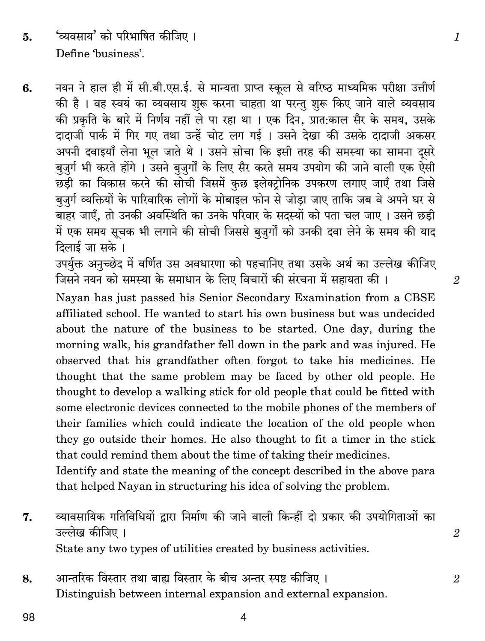'व्यवसाय' को परिभाषित कीजिए । 5. Define 'business'.

नयन ने हाल ही में सी.बी.एस.ई. से मान्यता प्राप्त स्कूल से वरिष्ठ माध्यमिक परीक्षा उत्तीर्ण 6. की है। वह स्वयं का व्यवसाय शुरू करना चाहता था परन्तु शुरू किए जाने वाले व्यवसाय की प्रकृति के बारे में निर्णय नहीं ले पा रहा था । एक दिन, प्रांत:काल सैर के समय, उसके दादाजी पार्क में गिर गए तथा उन्हें चोट लग गई । उसने देखा की उसके दादाजी अकसर .<br>अपनी दवाइयाँ लेना भूल जाते थे । उसने सोचा कि इसी तरह की समस्या का सामना दूसरे बुजुर्ग भी करते होंगे । उसने बुजुर्गों के लिए सैर करते समय उपयोग की जाने वाली एक ऐसी छडी का विकास करने की सोची जिसमें कुछ इलेक्टोनिक उपकरण लगाए जाएँ तथा जिसे बुजुर्ग व्यक्तियों के पारिवारिक लोगों के मोबाइल फोन से जोड़ा जाए ताकि जब वे अपने घर से बाहर जाएँ, तो उनकी अवस्थिति का उनके परिवार के सदस्यों को पता चल जाए। उसने छड़ी में एक समय सूचक भी लगाने की सोची जिससे बुजुर्गों को उनकी दवा लेने के समय की याद दिलाई जा सके ।

उपर्युक्त अनुच्छेद में वर्णित उस अवधारणा को पहचानिए तथा उसके अर्थ का उल्लेख कीजिए जिसने नयन को समस्या के समाधान के लिए विचारों की संरचना में सहायता की ।

Nayan has just passed his Senior Secondary Examination from a CBSE affiliated school. He wanted to start his own business but was undecided about the nature of the business to be started. One day, during the morning walk, his grandfather fell down in the park and was injured. He observed that his grandfather often forgot to take his medicines. He thought that the same problem may be faced by other old people. He thought to develop a walking stick for old people that could be fitted with some electronic devices connected to the mobile phones of the members of their families which could indicate the location of the old people when they go outside their homes. He also thought to fit a timer in the stick that could remind them about the time of taking their medicines.

Identify and state the meaning of the concept described in the above para that helped Nayan in structuring his idea of solving the problem.

- व्यावसायिक गतिविधियों द्वारा निर्माण की जाने वाली किन्हीं दो प्रकार की उपयोगिताओं का 7. उल्लेख कीजिए । State any two types of utilities created by business activities.
- आन्तरिक विस्तार तथा बाह्य विस्तार के बीच अन्तर स्पष्ट कीजिए । 8. Distinguish between internal expansion and external expansion.

 $\overline{2}$ 

 $\overline{2}$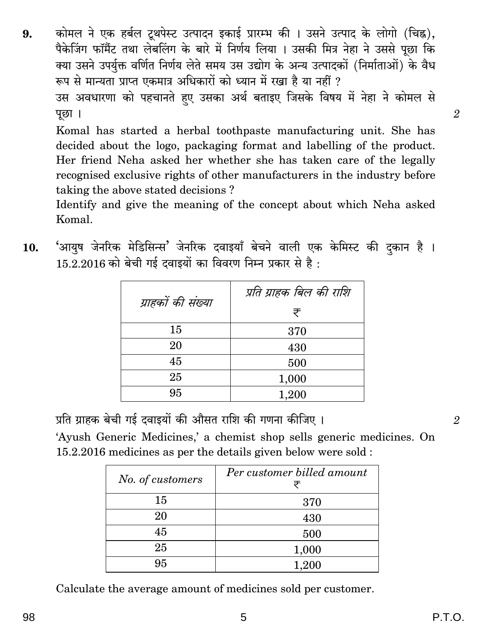कोमल ने एक हर्बल टथपेस्ट उत्पादन इकाई प्रारम्भ की । उसने उत्पाद के लोगो (चिह्न).  $\mathbf{Q}_1$ पैकेजिंग फॉर्मैट तथा लेबलिंग के बारे में निर्णय लिया । उसकी मित्र नेहा ने उससे पछा कि क्या उसने उपर्युक्त वर्णित निर्णय लेते समय उस उद्योग के अन्य उत्पादकों (निर्माताओं) के वैध रूप से मान्यता प्राप्त एकमात्र अधिकारों को ध्यान में रखा है या नहीं ? उस अवधारणा को पहचानते हुए उसका अर्थ बताइए जिसके विषय में नेहा ने कोमल से पछा ।

Komal has started a herbal toothpaste manufacturing unit. She has decided about the logo, packaging format and labelling of the product. Her friend Neha asked her whether she has taken care of the legally recognised exclusive rights of other manufacturers in the industry before taking the above stated decisions?

Identify and give the meaning of the concept about which Neha asked Komal.

| ग्राहकों की संख्या | प्रति ग्राहक बिल की राशि |
|--------------------|--------------------------|
|                    | ₹                        |
| 15                 | 370                      |
| 20                 | 430                      |
| 45                 | 500                      |
| 25                 | 1,000                    |
| 95                 | 1,200                    |

'आयुष जेनरिक मेडिसिन्स' जेनरिक दवाइयाँ बेचने वाली एक केमिस्ट की दुकान है । 10.  $15.2.2016$  को बेची गई दवाइयों का विवरण निम्न प्रकार से है :

प्रति ग्राहक बेची गई दवाइयों की औसत राशि की गणना कीजिए ।

'Ayush Generic Medicines,' a chemist shop sells generic medicines. On 15.2.2016 medicines as per the details given below were sold:

| No. of customers | Per customer billed amount<br>₹ |
|------------------|---------------------------------|
| 15               | 370                             |
| 20               | 430                             |
| 45               | 500                             |
| 25               | 1,000                           |
| 95               | 1,200                           |

Calculate the average amount of medicines sold per customer.

 $\overline{2}$ 

 $\overline{2}$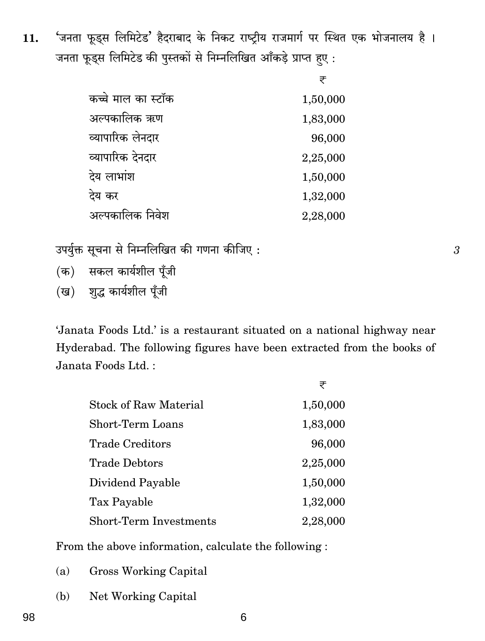'जनता फूड्स लिमिटेड' हैदराबाद के निकट राष्ट्रीय राजमार्ग पर स्थित एक भोजनालय है । 11. जनता फूड्स लिमिटेड की पुस्तकों से निम्नलिखित आँकड़े प्राप्त हुए:

|                    | ₹        |
|--------------------|----------|
| कच्चे माल का स्टॉक | 1,50,000 |
| अल्पकालिक ऋण       | 1,83,000 |
| व्यापारिक लेनदार   | 96,000   |
| व्यापारिक देनदार   | 2,25,000 |
| देय लाभांश         | 1,50,000 |
| देय कर             | 1,32,000 |
| अल्पकालिक निवेश    | 2,28,000 |

उपर्युक्त सूचना से निम्नलिखित की गणना कीजिए:

- (क) सकल कार्यशील पूँजी
- (ख) शुद्ध कार्यशील पूँजी

'Janata Foods Ltd.' is a restaurant situated on a national highway near Hyderabad. The following figures have been extracted from the books of Janata Foods Ltd.:

|                               | ₹        |
|-------------------------------|----------|
| <b>Stock of Raw Material</b>  | 1,50,000 |
| Short-Term Loans              | 1,83,000 |
| <b>Trade Creditors</b>        | 96,000   |
| <b>Trade Debtors</b>          | 2,25,000 |
| Dividend Payable              | 1,50,000 |
| Tax Payable                   | 1,32,000 |
| <b>Short-Term Investments</b> | 2,28,000 |

From the above information, calculate the following :

- **Gross Working Capital**  $(a)$
- (b) Net Working Capital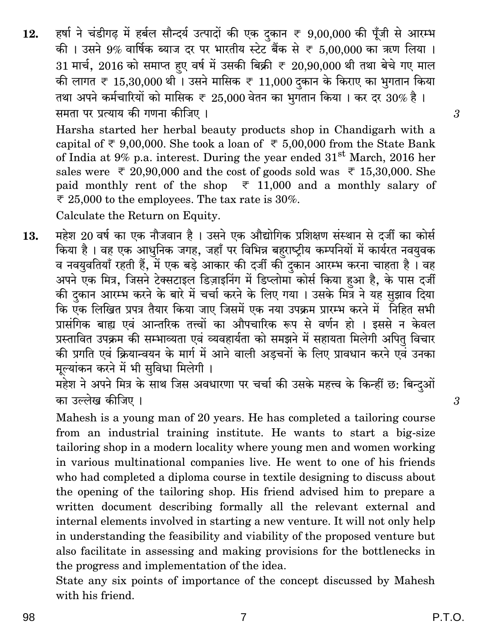हर्षा ने चंडीगढ में हर्बल सौन्दर्य उत्पादों की एक दकान ₹ 9,00,000 की पूँजी से आरम्भ  $12.$ की । उसने 9% वार्षिक ब्याज दर पर भारतीय स्टेट बैंक से ₹ 5.00.000 का ऋण लिया । 31 मार्च, 2016 को समाप्त हुए वर्ष में उसकी बिक्री  $\bar{\tau}$  20,90,000 थी तथा बेचे गए माल की लागत ₹ 15,30,000 थी। उसने मासिक ₹ 11,000 दुकान के किराए का भुगतान किया तथा अपने कर्मचारियों को मासिक ₹ 25,000 वेतन का भगतान किया । कर दर 30% है । समता पर प्रत्याय की गणना कीजिए ।

Harsha started her herbal beauty products shop in Chandigarh with a capital of  $\overline{\tau}$  9,00,000. She took a loan of  $\overline{\tau}$  5,00,000 from the State Bank of India at 9% p.a. interest. During the year ended  $31<sup>st</sup>$  March, 2016 her sales were  $\overline{\tau}$  20,90,000 and the cost of goods sold was  $\overline{\tau}$  15,30,000. She paid monthly rent of the shop  $\overline{z}$  11,000 and a monthly salary of  $\overline{\tau}$  25,000 to the employees. The tax rate is 30%.

Calculate the Return on Equity.

महेश 20 वर्ष का एक नौजवान है । उसने एक औद्योगिक प्रशिक्षण संस्थान से दर्जी का कोर्स 13. किया है। वह एक आधुनिक जगह, जहाँ पर विभिन्न बहराष्ट्रीय कम्पनियों में कार्यरत नवयुवक व नवयवतियाँ रहती हैं, में एक बड़े आकार की दर्जी की दुकान आरम्भ करना चाहता है। वह अपने एक मित्र, जिसने टेक्सटाइल डिज़ाइनिंग में डिप्लोमाँ कोर्स किया हुआ है, के पास दर्जी की दकान आरम्भ करने के बारे में चर्चा करने के लिए गया । उसके मित्र ने यह सुझाव दिया कि एक लिखित प्रपत्र तैयार किया जाए जिसमें एक नया उपक्रम प्रारम्भ करने में निहित सभी प्रासंगिक बाह्य एवं आन्तरिक तत्त्वों का औपचारिक रूप से वर्णन हो । इससे न केवल प्रस्तावित उपक्रम की सम्भाव्यता एवं व्यवहार्यता को समझने में सहायता मिलेगी अपित् विचार की प्रगति एवं क्रियान्वयन के मार्ग में आने वाली अडचनों के लिए प्रावधान करने एवं उनका मूल्यांकन करने में भी सुविधा मिलेगी।

महेश ने अपने मित्र के साथ जिस अवधारणा पर चर्चा की उसके महत्त्व के किन्हीं छ: बिन्दुओं का उल्लेख कीजिए ।

Mahesh is a young man of 20 years. He has completed a tailoring course from an industrial training institute. He wants to start a big-size tailoring shop in a modern locality where young men and women working in various multinational companies live. He went to one of his friends who had completed a diploma course in textile designing to discuss about the opening of the tailoring shop. His friend advised him to prepare a written document describing formally all the relevant external and internal elements involved in starting a new venture. It will not only help in understanding the feasibility and viability of the proposed venture but also facilitate in assessing and making provisions for the bottlenecks in the progress and implementation of the idea.

State any six points of importance of the concept discussed by Mahesh with his friend.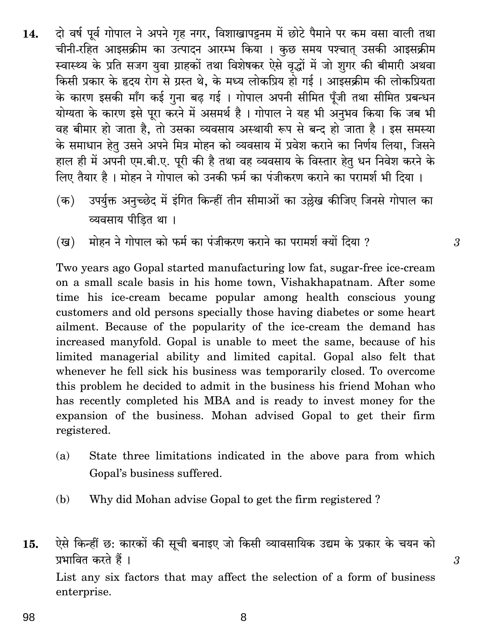- दो वर्ष पूर्व गोपाल ने अपने गृह नगर, विशाखापट्टनम में छोटे पैमाने पर कम वसा वाली तथा 14. चीनी-रहित आइसक्रीम का उत्पादन आरम्भ किया । कुछ समय पश्चात उसकी आइसक्रीम स्वास्थ्य के प्रति सजग युवा ग्राहकों तथा विशेषकर ऐसे वृद्धों में जो शुगर की बीमारी अथवा किसी प्रकार के हृदय रोग से ग्रस्त थे, के मध्य लोकप्रिय हो गई। आइसक्रीम की लोकप्रियता के कारण इसकी माँग कई गुना बढ गई । गोपाल अपनी सीमित पूँजी तथा सीमित प्रबन्धन योग्यता के कारण इसे पुरा करने में असमर्थ है। गोपाल ने यह भी अनुभव किया कि जब भी वह बीमार हो जाता है, तो उसका व्यवसाय अस्थायी रूप से बन्द हो जाता है। इस समस्या के समाधान हेतु उसने अपने मित्र मोहन को व्यवसाय में प्रवेश कराने का निर्णय लिया, जिसने हाल ही में अपनी एम.बी.ए. पूरी की है तथा वह व्यवसाय के विस्तार हेतु धन निवेश करने के लिए तैयार है। मोहन ने गोपाल को उनकी फर्म का पंजीकरण कराने का परामर्श भी दिया।
	- उपर्युक्त अनुच्छेद में इंगित किन्हीं तीन सीमाओं का उल्लेख कीजिए जिनसे गोपाल का  $(\overline{a})$ व्यवसाय पीडित था ।
	- मोहन ने गोपाल को फर्म का पंजीकरण कराने का परामर्श क्यों दिया ? (ख)

Two years ago Gopal started manufacturing low fat, sugar-free ice-cream on a small scale basis in his home town, Vishakhapatnam. After some time his ice-cream became popular among health conscious young customers and old persons specially those having diabetes or some heart ailment. Because of the popularity of the ice-cream the demand has increased manyfold. Gopal is unable to meet the same, because of his limited managerial ability and limited capital. Gopal also felt that whenever he fell sick his business was temporarily closed. To overcome this problem he decided to admit in the business his friend Mohan who has recently completed his MBA and is ready to invest money for the expansion of the business. Mohan advised Gopal to get their firm registered.

- State three limitations indicated in the above para from which  $(a)$ Gopal's business suffered.
- (b) Why did Mohan advise Gopal to get the firm registered?

ऐसे किन्हीं छ: कारकों की सूची बनाइए जो किसी व्यावसायिक उद्यम के प्रकार के चयन को 15. प्रभावित करते हैं। List any six factors that may affect the selection of a form of business enterprise.

8

 $\overline{3}$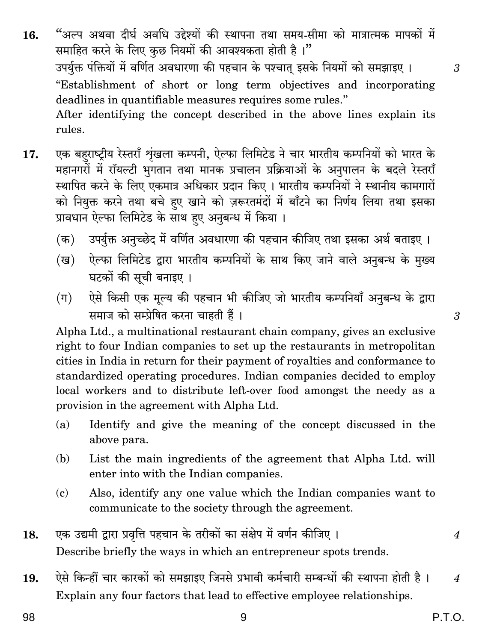- "अल्प अथवा दीर्घ अवधि उद्देश्यों की स्थापना तथा समय-सीमा को मात्रात्मक मापकों में 16. समाहित करने के लिए कुछ नियमों की आवश्यकता होती है।" उपर्युक्त पंक्तियों में वर्णित अवधारणा की पहचान के पश्चात इसके नियमों को समझाइए । "Establishment of short or long term objectives and incorporating deadlines in quantifiable measures requires some rules." After identifying the concept described in the above lines explain its rules.
- एक बहराष्ट्रीय रेस्तराँ शृंखला कम्पनी, ऐल्फा लिमिटेड ने चार भारतीय कम्पनियों को भारत के 17. महानगरों में रॉयल्टी भुगतान तथा मानक प्रचालन प्रक्रियाओं के अनुपालन के बदले रेस्तराँ स्थापित करने के लिए एकमात्र अधिकार प्रदान किए । भारतीय कम्पनियों ने स्थानीय कामगारों को नियुक्त करने तथा बचे हुए खाने को ज़रूरतमंदों में बाँटने का निर्णय लिया तथा इसका प्रावधान ऐल्फा लिमिटेड के साथ हए अनुबन्ध में किया।
	- उपर्युक्त अनुच्छेद में वर्णित अवधारणा की पहचान कीजिए तथा इसका अर्थ बताइए । (क)
	- ऐल्फा लिमिटेड द्वारा भारतीय कम्पनियों के साथ किए जाने वाले अनुबन्ध के मुख्य (ख) घटकों की सूची बनाइए ।
	- ऐसे किसी एक मुल्य की पहचान भी कीजिए जो भारतीय कम्पनियाँ अनुबन्ध के द्वारा  $(\pi)$ समाज को सम्प्रेषित करना चाहती हैं।

Alpha Ltd., a multinational restaurant chain company, gives an exclusive right to four Indian companies to set up the restaurants in metropolitan cities in India in return for their payment of royalties and conformance to standardized operating procedures. Indian companies decided to employ local workers and to distribute left-over food amongst the needy as a provision in the agreement with Alpha Ltd.

- Identify and give the meaning of the concept discussed in the  $(a)$ above para.
- $(b)$ List the main ingredients of the agreement that Alpha Ltd. will enter into with the Indian companies.
- Also, identify any one value which the Indian companies want to  $\epsilon$ communicate to the society through the agreement.
- एक उद्यमी द्वारा प्रवृत्ति पहचान के तरीकों का संक्षेप में वर्णन कीजिए । 18. Describe briefly the ways in which an entrepreneur spots trends.
- ऐसे किन्हीं चार कारकों को समझाइए जिनसे प्रभावी कर्मचारी सम्बन्धों की स्थापना होती है । 19.  $\boldsymbol{\mathcal{A}}$ Explain any four factors that lead to effective employee relationships.

 $\overline{4}$ 

 $\overline{3}$ 

3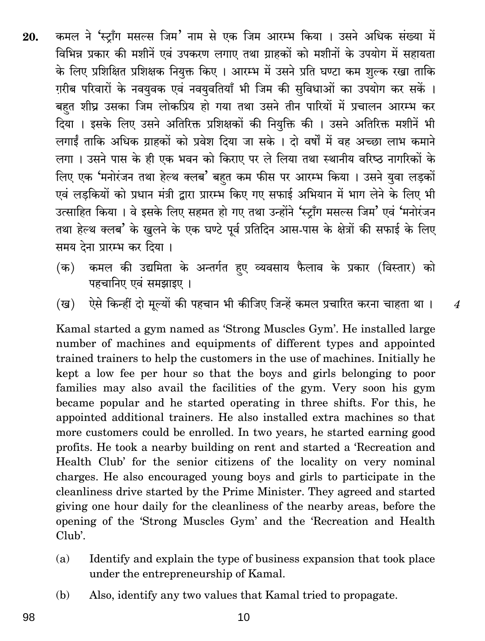- कमल ने 'स्ट्राँग मसल्स जिम' नाम से एक जिम आरम्भ किया । उसने अधिक संख्या में 20. विभिन्न प्रकार की मशीनें एवं उपकरण लगाए तथा ग्राहकों को मशीनों के उपयोग में सहायता के लिए प्रशिक्षित प्रशिक्षक नियुक्त किए । आरम्भ में उसने प्रति घण्टा कम शुल्क रखा ताकि ग़रीब परिवारों के नवयुवक एवं नवयुवतियाँ भी जिम की सुविधाओं का उपयोग कर सकें । बहत शीघ्र उसका जिम लोकप्रिय हो गया तथा उसने तीन पारियों में प्रचालन आरम्भ कर दिया । इसके लिए उसने अतिरिक्त प्रशिक्षकों की नियुक्ति की । उसने अतिरिक्त मशीनें भी लगाईं ताकि अधिक ग्राहकों को प्रवेश दिया जा सके । दो वर्षों में वह अच्छा लाभ कमाने लगा। उसने पास के ही एक भवन को किराए पर ले लिया तथा स्थानीय वरिष्ठ नागरिकों के लिए एक 'मनोरंजन तथा हेल्थ क्लब' बहुत कम फीस पर आरम्भ किया। उसने युवा लड़कों एवं लडकियों को प्रधान मंत्री द्वारा प्रारम्भ किए गए सफाई अभियान में भाग लेने के लिए भी उत्साहित किया । वे इसके लिए सहमत हो गए तथा उन्होंने 'स्टाँग मसल्स जिम' एवं 'मनोरंजन तथा हेल्थ क्लब' के खुलने के एक घण्टे पूर्व प्रतिदिन आस-पास के क्षेत्रों की सफाई के लिए समय देना प्रारम्भ कर दिया ।
	- कमल की उद्यमिता के अन्तर्गत हुए व्यवसाय फैलाव के प्रकार (विस्तार) को (क) पहचानिए एवं समझाइए ।
	- ऐसे किन्हीं दो मूल्यों की पहचान भी कीजिए जिन्हें कमल प्रचारित करना चाहता था। (ख)

 $\overline{4}$ 

Kamal started a gym named as 'Strong Muscles Gym'. He installed large number of machines and equipments of different types and appointed trained trainers to help the customers in the use of machines. Initially he kept a low fee per hour so that the boys and girls belonging to poor families may also avail the facilities of the gym. Very soon his gym became popular and he started operating in three shifts. For this, he appointed additional trainers. He also installed extra machines so that more customers could be enrolled. In two years, he started earning good profits. He took a nearby building on rent and started a 'Recreation and Health Club' for the senior citizens of the locality on very nominal charges. He also encouraged young boys and girls to participate in the cleanliness drive started by the Prime Minister. They agreed and started giving one hour daily for the cleanliness of the nearby areas, before the opening of the 'Strong Muscles Gym' and the 'Recreation and Health Club'.

- Identify and explain the type of business expansion that took place  $(a)$ under the entrepreneurship of Kamal.
- $(b)$ Also, identify any two values that Kamal tried to propagate.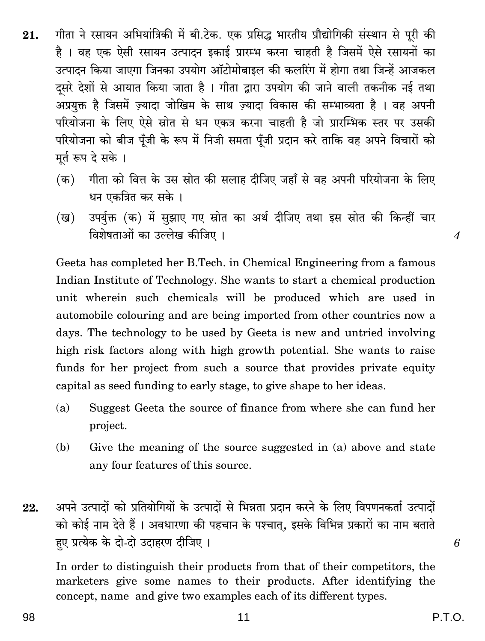- गीता ने रसायन अभियांत्रिकी में बी.टेक. एक प्रसिद्ध भारतीय प्रौद्योगिकी संस्थान से पूरी की 21. है । वह एक ऐसी रसायन उत्पादन इकाई प्रारम्भ करना चाहती है जिसमें ऐसे रसायनों का उत्पादन किया जाएगा जिनका उपयोग ऑटोमोबाइल की कलरिंग में होगा तथा जिन्हें आजकल दसरे देशों से आयात किया जाता है। गीता द्वारा उपयोग की जाने वाली तकनीक नई तथा अप्रयक्त है जिसमें ज्यादा जोखिम के साथ ज्यादा विकास की सम्भाव्यता है । वह अपनी परियोजना के लिए ऐसे स्रोत से धन एकत्र करना चाहती है जो प्रारम्भिक स्तर पर उसकी परियोजना को बीज पूँजी के रूप में निजी समता पूँजी प्रदान करे ताकि वह अपने विचारों को मूर्त रूप दे सके ।
	- (क) गीता को वित्त के उस स्रोत की सलाह दीजिए जहाँ से वह अपनी परियोजना के लिए धन एकत्रित कर सके ।
	- उपर्युक्त (क) में सुझाए गए स्रोत का अर्थ दीजिए तथा इस स्रोत की किन्हीं चार (ख) विशेषताओं का उल्लेख कीजिए।

Geeta has completed her B.Tech. in Chemical Engineering from a famous Indian Institute of Technology. She wants to start a chemical production unit wherein such chemicals will be produced which are used in automobile colouring and are being imported from other countries now a days. The technology to be used by Geeta is new and untried involving high risk factors along with high growth potential. She wants to raise funds for her project from such a source that provides private equity capital as seed funding to early stage, to give shape to her ideas.

- Suggest Geeta the source of finance from where she can fund her  $(a)$ project.
- $(b)$ Give the meaning of the source suggested in (a) above and state any four features of this source.
- अपने उत्पादों को प्रतियोगियों के उत्पादों से भिन्नता प्रदान करने के लिए विपणनकर्ता उत्पादों 22. को कोई नाम देते हैं । अवधारणा की पहचान के पश्चात्, इसके विभिन्न प्रकारों का नाम बताते हए प्रत्येक के दो-दो उदाहरण दीजिए।

In order to distinguish their products from that of their competitors, the marketers give some names to their products. After identifying the concept, name and give two examples each of its different types.

6

 $\overline{\boldsymbol{4}}$